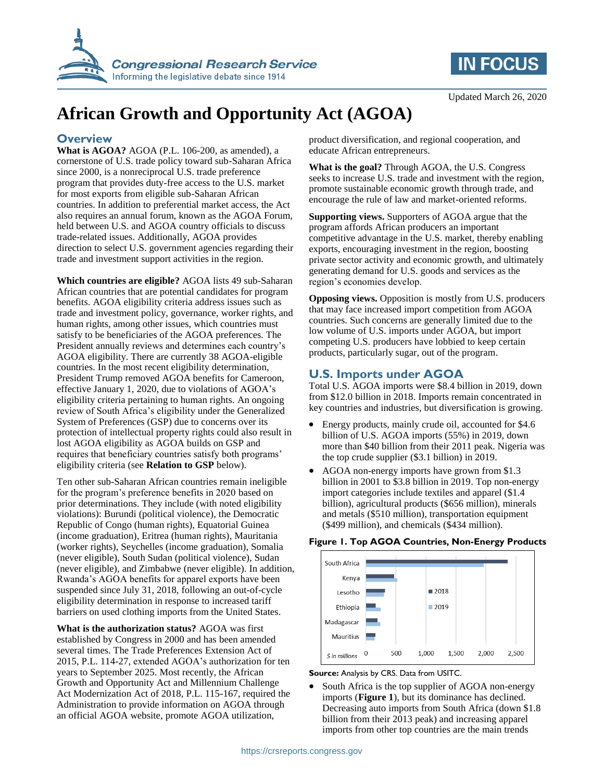



# **African Growth and Opportunity Act (AGOA)**

### **Overview**

**What is AGOA?** AGOA (P.L. 106-200, as amended), a cornerstone of U.S. trade policy toward sub-Saharan Africa since 2000, is a nonreciprocal U.S. trade preference program that provides duty-free access to the U.S. market for most exports from eligible sub-Saharan African countries. In addition to preferential market access, the Act also requires an annual forum, known as the AGOA Forum, held between U.S. and AGOA country officials to discuss trade-related issues. Additionally, AGOA provides direction to select U.S. government agencies regarding their trade and investment support activities in the region.

**Which countries are eligible?** AGOA lists 49 sub-Saharan African countries that are potential candidates for program benefits. AGOA eligibility criteria address issues such as trade and investment policy, governance, worker rights, and human rights, among other issues, which countries must satisfy to be beneficiaries of the AGOA preferences. The President annually reviews and determines each country's AGOA eligibility. There are currently 38 AGOA-eligible countries. In the most recent eligibility determination, President Trump removed AGOA benefits for Cameroon, effective January 1, 2020, due to violations of AGOA's eligibility criteria pertaining to human rights. An ongoing review of South Africa's eligibility under the Generalized System of Preferences (GSP) due to concerns over its protection of intellectual property rights could also result in lost AGOA eligibility as AGOA builds on GSP and requires that beneficiary countries satisfy both programs' eligibility criteria (see **Relation to GSP** below).

Ten other sub-Saharan African countries remain ineligible for the program's preference benefits in 2020 based on prior determinations. They include (with noted eligibility violations): Burundi (political violence), the Democratic Republic of Congo (human rights), Equatorial Guinea (income graduation), Eritrea (human rights), Mauritania (worker rights), Seychelles (income graduation), Somalia (never eligible), South Sudan (political violence), Sudan (never eligible), and Zimbabwe (never eligible). In addition, Rwanda's AGOA benefits for apparel exports have been suspended since July 31, 2018, following an out-of-cycle eligibility determination in response to increased tariff barriers on used clothing imports from the United States.

**What is the authorization status?** AGOA was first established by Congress in 2000 and has been amended several times. The Trade Preferences Extension Act of 2015, P.L. 114-27, extended AGOA's authorization for ten years to September 2025. Most recently, the African Growth and Opportunity Act and Millennium Challenge Act Modernization Act of 2018, P.L. 115-167, required the Administration to provide information on AGOA through an official AGOA website, promote AGOA utilization,

product diversification, and regional cooperation, and educate African entrepreneurs.

**What is the goal?** Through AGOA, the U.S. Congress seeks to increase U.S. trade and investment with the region, promote sustainable economic growth through trade, and encourage the rule of law and market-oriented reforms.

**Supporting views.** Supporters of AGOA argue that the program affords African producers an important competitive advantage in the U.S. market, thereby enabling exports, encouraging investment in the region, boosting private sector activity and economic growth, and ultimately generating demand for U.S. goods and services as the region's economies develop.

**Opposing views.** Opposition is mostly from U.S. producers that may face increased import competition from AGOA countries. Such concerns are generally limited due to the low volume of U.S. imports under AGOA, but import competing U.S. producers have lobbied to keep certain products, particularly sugar, out of the program.

## **U.S. Imports under AGOA**

Total U.S. AGOA imports were \$8.4 billion in 2019, down from \$12.0 billion in 2018. Imports remain concentrated in key countries and industries, but diversification is growing.

- Energy products, mainly crude oil, accounted for \$4.6 billion of U.S. AGOA imports (55%) in 2019, down more than \$40 billion from their 2011 peak. Nigeria was the top crude supplier (\$3.1 billion) in 2019.
- AGOA non-energy imports have grown from \$1.3 billion in 2001 to \$3.8 billion in 2019. Top non-energy import categories include textiles and apparel (\$1.4 billion), agricultural products (\$656 million), minerals and metals (\$510 million), transportation equipment (\$499 million), and chemicals (\$434 million).

#### **Figure 1. Top AGOA Countries, Non-Energy Products**



**Source:** Analysis by CRS. Data from USITC.

 South Africa is the top supplier of AGOA non-energy imports (**Figure 1**), but its dominance has declined. Decreasing auto imports from South Africa (down \$1.8 billion from their 2013 peak) and increasing apparel imports from other top countries are the main trends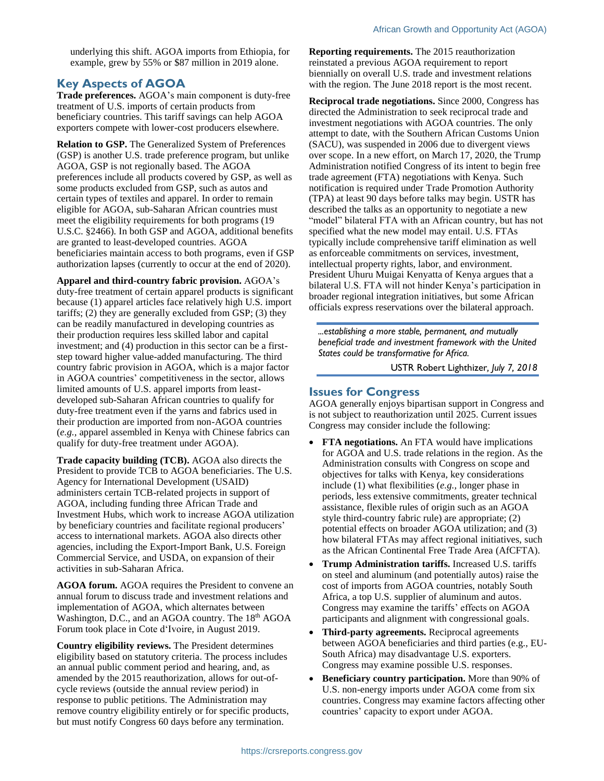underlying this shift. AGOA imports from Ethiopia, for example, grew by 55% or \$87 million in 2019 alone.

## **Key Aspects of AGOA**

**Trade preferences.** AGOA's main component is duty-free treatment of U.S. imports of certain products from beneficiary countries. This tariff savings can help AGOA exporters compete with lower-cost producers elsewhere.

**Relation to GSP.** The Generalized System of Preferences (GSP) is another U.S. trade preference program, but unlike AGOA, GSP is not regionally based. The AGOA preferences include all products covered by GSP, as well as some products excluded from GSP, such as autos and certain types of textiles and apparel. In order to remain eligible for AGOA, sub-Saharan African countries must meet the eligibility requirements for both programs (19 U.S.C. §2466). In both GSP and AGOA, additional benefits are granted to least-developed countries. AGOA beneficiaries maintain access to both programs, even if GSP authorization lapses (currently to occur at the end of 2020).

**Apparel and third-country fabric provision.** AGOA's duty-free treatment of certain apparel products is significant because (1) apparel articles face relatively high U.S. import tariffs; (2) they are generally excluded from GSP; (3) they can be readily manufactured in developing countries as their production requires less skilled labor and capital investment; and (4) production in this sector can be a firststep toward higher value-added manufacturing. The third country fabric provision in AGOA, which is a major factor in AGOA countries' competitiveness in the sector, allows limited amounts of U.S. apparel imports from leastdeveloped sub-Saharan African countries to qualify for duty-free treatment even if the yarns and fabrics used in their production are imported from non-AGOA countries (*e.g.,* apparel assembled in Kenya with Chinese fabrics can qualify for duty-free treatment under AGOA).

**Trade capacity building (TCB).** AGOA also directs the President to provide TCB to AGOA beneficiaries. The U.S. Agency for International Development (USAID) administers certain TCB-related projects in support of AGOA, including funding three African Trade and Investment Hubs, which work to increase AGOA utilization by beneficiary countries and facilitate regional producers' access to international markets. AGOA also directs other agencies, including the Export-Import Bank, U.S. Foreign Commercial Service, and USDA, on expansion of their activities in sub-Saharan Africa.

**AGOA forum.** AGOA requires the President to convene an annual forum to discuss trade and investment relations and implementation of AGOA, which alternates between Washington, D.C., and an AGOA country. The 18<sup>th</sup> AGOA Forum took place in Cote d'Ivoire, in August 2019.

**Country eligibility reviews.** The President determines eligibility based on statutory criteria. The process includes an annual public comment period and hearing, and, as amended by the 2015 reauthorization, allows for out-ofcycle reviews (outside the annual review period) in response to public petitions. The Administration may remove country eligibility entirely or for specific products, but must notify Congress 60 days before any termination.

**Reporting requirements.** The 2015 reauthorization reinstated a previous AGOA requirement to report biennially on overall U.S. trade and investment relations with the region. The June 2018 report is the most recent.

**Reciprocal trade negotiations.** Since 2000, Congress has directed the Administration to seek reciprocal trade and investment negotiations with AGOA countries. The only attempt to date, with the Southern African Customs Union (SACU), was suspended in 2006 due to divergent views over scope. In a new effort, on March 17, 2020, the Trump Administration notified Congress of its intent to begin free trade agreement (FTA) negotiations with Kenya. Such notification is required under Trade Promotion Authority (TPA) at least 90 days before talks may begin. USTR has described the talks as an opportunity to negotiate a new "model" bilateral FTA with an African country, but has not specified what the new model may entail. U.S. FTAs typically include comprehensive tariff elimination as well as enforceable commitments on services, investment, intellectual property rights, labor, and environment. President Uhuru Muigai Kenyatta of Kenya argues that a bilateral U.S. FTA will not hinder Kenya's participation in broader regional integration initiatives, but some African officials express reservations over the bilateral approach.

*...establishing a more stable, permanent, and mutually beneficial trade and investment framework with the United States could be transformative for Africa.*

USTR Robert Lighthizer*, July 7, 2018*

#### **Issues for Congress**

AGOA generally enjoys bipartisan support in Congress and is not subject to reauthorization until 2025. Current issues Congress may consider include the following:

- **FTA negotiations.** An FTA would have implications for AGOA and U.S. trade relations in the region. As the Administration consults with Congress on scope and objectives for talks with Kenya, key considerations include (1) what flexibilities (*e.g.,* longer phase in periods, less extensive commitments, greater technical assistance, flexible rules of origin such as an AGOA style third-country fabric rule) are appropriate; (2) potential effects on broader AGOA utilization; and (3) how bilateral FTAs may affect regional initiatives, such as the African Continental Free Trade Area (AfCFTA).
- **Trump Administration tariffs.** Increased U.S. tariffs on steel and aluminum (and potentially autos) raise the cost of imports from AGOA countries, notably South Africa, a top U.S. supplier of aluminum and autos. Congress may examine the tariffs' effects on AGOA participants and alignment with congressional goals.
- **Third-party agreements.** Reciprocal agreements between AGOA beneficiaries and third parties (e.g., EU-South Africa) may disadvantage U.S. exporters. Congress may examine possible U.S. responses.
- **Beneficiary country participation.** More than 90% of U.S. non-energy imports under AGOA come from six countries. Congress may examine factors affecting other countries' capacity to export under AGOA.